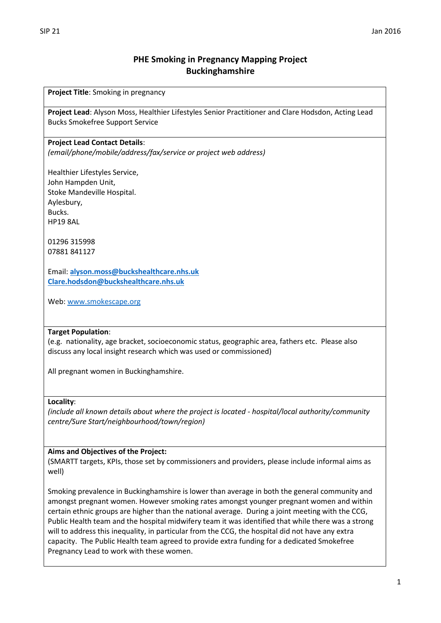# **PHE Smoking in Pregnancy Mapping Project Buckinghamshire**

**Project Title**: Smoking in pregnancy

**Project Lead**: Alyson Moss, Healthier Lifestyles Senior Practitioner and Clare Hodsdon, Acting Lead Bucks Smokefree Support Service

#### **Project Lead Contact Details**:

*(email/phone/mobile/address/fax/service or project web address)*

Healthier Lifestyles Service, John Hampden Unit, Stoke Mandeville Hospital. Aylesbury, Bucks. HP19 8AL

01296 315998 07881 841127

Email: **[alyson.moss@buckshealthcare.nhs.uk](mailto:alyson.moss@buckshealthcare.nhs.uk) [Clare.hodsdon@buckshealthcare.nhs.uk](mailto:Clare.hodsdon@buckshealthcare.nhs.uk)**

Web: [www.smokescape.org](http://www.smokescape.org/)

#### **Target Population**:

(e.g. nationality, age bracket, socioeconomic status, geographic area, fathers etc. Please also discuss any local insight research which was used or commissioned)

All pregnant women in Buckinghamshire.

#### **Locality**:

*(include all known details about where the project is located - hospital/local authority/community centre/Sure Start/neighbourhood/town/region)*

#### **Aims and Objectives of the Project:**

(SMARTT targets, KPIs, those set by commissioners and providers, please include informal aims as well)

Smoking prevalence in Buckinghamshire is lower than average in both the general community and amongst pregnant women. However smoking rates amongst younger pregnant women and within certain ethnic groups are higher than the national average. During a joint meeting with the CCG, Public Health team and the hospital midwifery team it was identified that while there was a strong will to address this inequality, in particular from the CCG, the hospital did not have any extra capacity. The Public Health team agreed to provide extra funding for a dedicated Smokefree Pregnancy Lead to work with these women.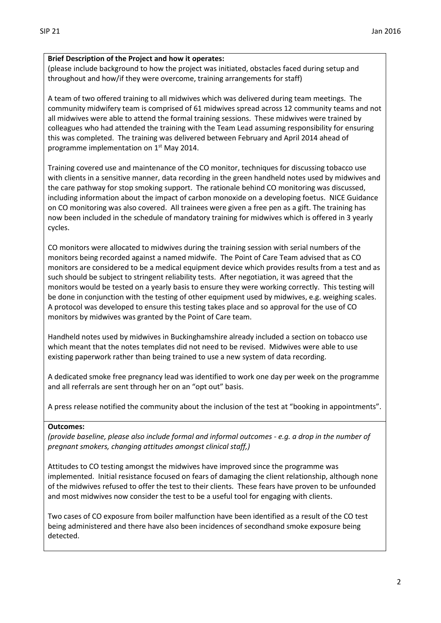#### **Brief Description of the Project and how it operates:**

(please include background to how the project was initiated, obstacles faced during setup and throughout and how/if they were overcome, training arrangements for staff)

A team of two offered training to all midwives which was delivered during team meetings. The community midwifery team is comprised of 61 midwives spread across 12 community teams and not all midwives were able to attend the formal training sessions. These midwives were trained by colleagues who had attended the training with the Team Lead assuming responsibility for ensuring this was completed. The training was delivered between February and April 2014 ahead of programme implementation on 1<sup>st</sup> May 2014.

Training covered use and maintenance of the CO monitor, techniques for discussing tobacco use with clients in a sensitive manner, data recording in the green handheld notes used by midwives and the care pathway for stop smoking support. The rationale behind CO monitoring was discussed, including information about the impact of carbon monoxide on a developing foetus. NICE Guidance on CO monitoring was also covered. All trainees were given a free pen as a gift. The training has now been included in the schedule of mandatory training for midwives which is offered in 3 yearly cycles.

CO monitors were allocated to midwives during the training session with serial numbers of the monitors being recorded against a named midwife. The Point of Care Team advised that as CO monitors are considered to be a medical equipment device which provides results from a test and as such should be subject to stringent reliability tests. After negotiation, it was agreed that the monitors would be tested on a yearly basis to ensure they were working correctly. This testing will be done in conjunction with the testing of other equipment used by midwives, e.g. weighing scales. A protocol was developed to ensure this testing takes place and so approval for the use of CO monitors by midwives was granted by the Point of Care team.

Handheld notes used by midwives in Buckinghamshire already included a section on tobacco use which meant that the notes templates did not need to be revised. Midwives were able to use existing paperwork rather than being trained to use a new system of data recording.

A dedicated smoke free pregnancy lead was identified to work one day per week on the programme and all referrals are sent through her on an "opt out" basis.

A press release notified the community about the inclusion of the test at "booking in appointments".

#### **Outcomes:**

*(provide baseline, please also include formal and informal outcomes - e.g. a drop in the number of pregnant smokers, changing attitudes amongst clinical staff,)*

Attitudes to CO testing amongst the midwives have improved since the programme was implemented. Initial resistance focused on fears of damaging the client relationship, although none of the midwives refused to offer the test to their clients. These fears have proven to be unfounded and most midwives now consider the test to be a useful tool for engaging with clients.

Two cases of CO exposure from boiler malfunction have been identified as a result of the CO test being administered and there have also been incidences of secondhand smoke exposure being detected.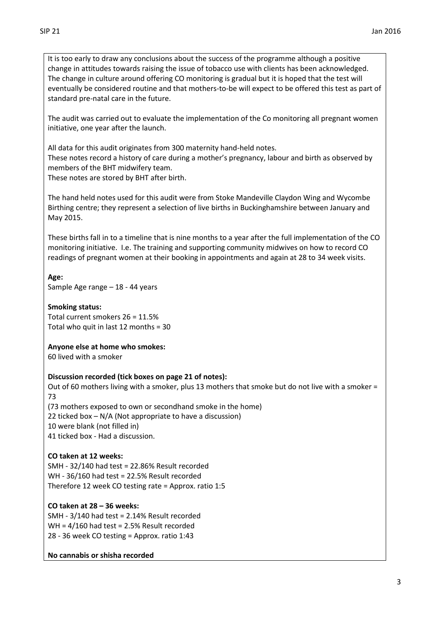It is too early to draw any conclusions about the success of the programme although a positive change in attitudes towards raising the issue of tobacco use with clients has been acknowledged. The change in culture around offering CO monitoring is gradual but it is hoped that the test will eventually be considered routine and that mothers-to-be will expect to be offered this test as part of standard pre-natal care in the future.

The audit was carried out to evaluate the implementation of the Co monitoring all pregnant women initiative, one year after the launch.

All data for this audit originates from 300 maternity hand-held notes. These notes record a history of care during a mother's pregnancy, labour and birth as observed by members of the BHT midwifery team.

These notes are stored by BHT after birth.

The hand held notes used for this audit were from Stoke Mandeville Claydon Wing and Wycombe Birthing centre; they represent a selection of live births in Buckinghamshire between January and May 2015.

These births fall in to a timeline that is nine months to a year after the full implementation of the CO monitoring initiative. I.e. The training and supporting community midwives on how to record CO readings of pregnant women at their booking in appointments and again at 28 to 34 week visits.

**Age:** Sample Age range – 18 - 44 years

#### **Smoking status:** Total current smokers 26 = 11.5% Total who quit in last 12 months = 30

## **Anyone else at home who smokes:**

60 lived with a smoker

## **Discussion recorded (tick boxes on page 21 of notes):**

Out of 60 mothers living with a smoker, plus 13 mothers that smoke but do not live with a smoker = 73

(73 mothers exposed to own or secondhand smoke in the home) 22 ticked box – N/A (Not appropriate to have a discussion) 10 were blank (not filled in) 41 ticked box - Had a discussion.

## **CO taken at 12 weeks:**

SMH - 32/140 had test = 22.86% Result recorded WH - 36/160 had test = 22.5% Result recorded Therefore 12 week CO testing rate = Approx. ratio 1:5

## **CO taken at 28 – 36 weeks:**

SMH - 3/140 had test = 2.14% Result recorded WH = 4/160 had test = 2.5% Result recorded 28 - 36 week CO testing = Approx. ratio 1:43

## **No cannabis or shisha recorded**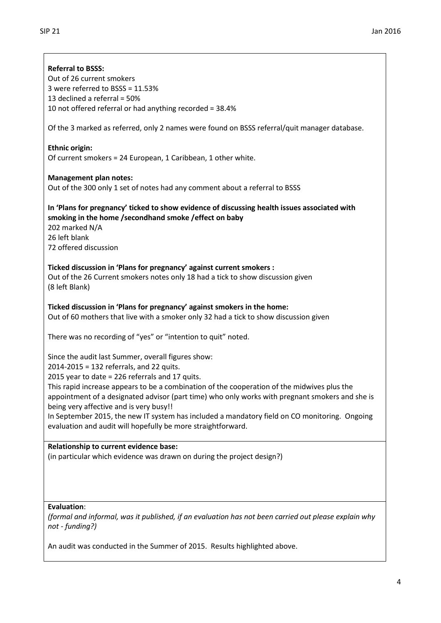## **Referral to BSSS:**

Out of 26 current smokers 3 were referred to BSSS = 11.53% 13 declined a referral = 50% 10 not offered referral or had anything recorded = 38.4%

Of the 3 marked as referred, only 2 names were found on BSSS referral/quit manager database.

## **Ethnic origin:**

Of current smokers = 24 European, 1 Caribbean, 1 other white.

## **Management plan notes:**

Out of the 300 only 1 set of notes had any comment about a referral to BSSS

## **In 'Plans for pregnancy' ticked to show evidence of discussing health issues associated with smoking in the home /secondhand smoke /effect on baby**

202 marked N/A 26 left blank 72 offered discussion

## **Ticked discussion in 'Plans for pregnancy' against current smokers :**

Out of the 26 Current smokers notes only 18 had a tick to show discussion given (8 left Blank)

# **Ticked discussion in 'Plans for pregnancy' against smokers in the home:**

Out of 60 mothers that live with a smoker only 32 had a tick to show discussion given

There was no recording of "yes" or "intention to quit" noted.

## Since the audit last Summer, overall figures show:

2014-2015 = 132 referrals, and 22 quits.

2015 year to date = 226 referrals and 17 quits.

This rapid increase appears to be a combination of the cooperation of the midwives plus the appointment of a designated advisor (part time) who only works with pregnant smokers and she is being very affective and is very busy!!

In September 2015, the new IT system has included a mandatory field on CO monitoring. Ongoing evaluation and audit will hopefully be more straightforward.

## **Relationship to current evidence base:**

(in particular which evidence was drawn on during the project design?)

## **Evaluation**:

*(formal and informal, was it published, if an evaluation has not been carried out please explain why not - funding?)*

An audit was conducted in the Summer of 2015. Results highlighted above.